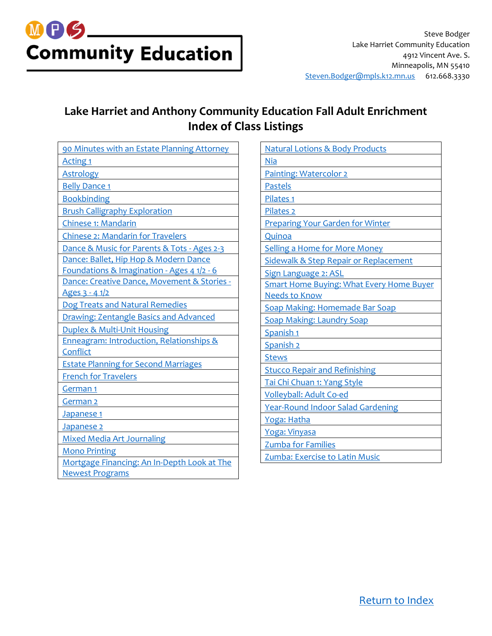## MPS\_ **Community Education**

### **Lake Harriet and Anthony Community Education Fall Adult Enrichment Index of Class Listings**

| 90 Minutes with an Estate Planning Attorney   |
|-----------------------------------------------|
| <b>Acting 1</b>                               |
| <b>Astrology</b>                              |
| <b>Belly Dance 1</b>                          |
| <b>Bookbinding</b>                            |
| <b>Brush Calligraphy Exploration</b>          |
| Chinese 1: Mandarin                           |
| <b>Chinese 2: Mandarin for Travelers</b>      |
| Dance & Music for Parents & Tots - Ages 2-3   |
| Dance: Ballet, Hip Hop & Modern Dance         |
| Foundations & Imagination - Ages 4 1/2 - 6    |
| Dance: Creative Dance, Movement & Stories -   |
| Ages 3 - 4 1/2                                |
| Dog Treats and Natural Remedies               |
| <b>Drawing: Zentangle Basics and Advanced</b> |
| <b>Duplex &amp; Multi-Unit Housing</b>        |
| Enneagram: Introduction, Relationships &      |
| Conflict                                      |
| <b>Estate Planning for Second Marriages</b>   |
| <b>French for Travelers</b>                   |
| <u>German 1</u>                               |
| German <sub>2</sub>                           |
| Japanese 1                                    |
| Japanese <sub>2</sub>                         |
| <b>Mixed Media Art Journaling</b>             |
| <b>Mono Printing</b>                          |
| Mortgage Financing: An In-Depth Look at The   |
| <b>Newest Programs</b>                        |

<span id="page-0-0"></span>

| <b>Natural Lotions &amp; Body Products</b>      |
|-------------------------------------------------|
| <b>Nia</b>                                      |
| Painting: Watercolor 2                          |
| <b>Pastels</b>                                  |
| Pilates <sub>1</sub>                            |
| Pilates <sub>2</sub>                            |
| <b>Preparing Your Garden for Winter</b>         |
| Quinoa                                          |
| <b>Selling a Home for More Money</b>            |
| Sidewalk & Step Repair or Replacement           |
| Sign Language 2: ASL                            |
| <b>Smart Home Buying: What Every Home Buyer</b> |
| <b>Needs to Know</b>                            |
| <b>Soap Making: Homemade Bar Soap</b>           |
| <b>Soap Making: Laundry Soap</b>                |
| Spanish <sub>1</sub>                            |
| Spanish <sub>2</sub>                            |
| <b>Stews</b>                                    |
| <b>Stucco Repair and Refinishing</b>            |
| Tai Chi Chuan 1: Yang Style                     |
| Volleyball: Adult Co-ed                         |
| <b>Year-Round Indoor Salad Gardening</b>        |
| Yoga: Hatha                                     |
| Yoga: Vinyasa                                   |
| <b>Zumba for Families</b>                       |
| Zumba: Exercise to Latin Music                  |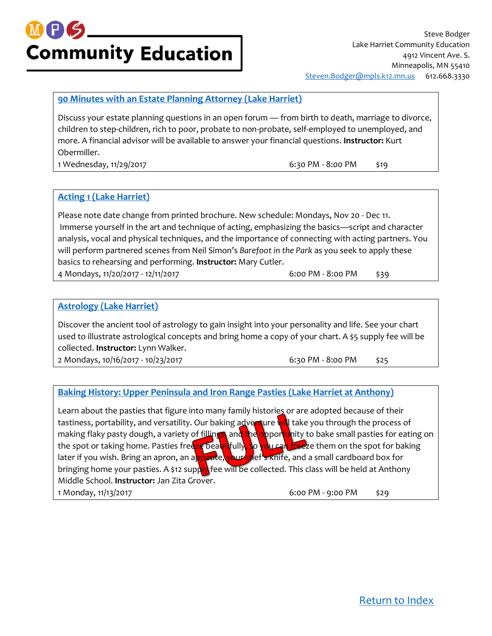### M FIS **Community Education**

#### <span id="page-1-0"></span>**[90 Minutes with an Estate Planning Attorney \(Lake Harriet\)](https://minneapolis.ce.eleyo.com/course/9227/adult-enrichment-fall-2017/90-minutes-with-an-estate-planning-attorney-lake-harriet)**

Discuss your estate planning questions in an open forum — from birth to death, marriage to divorce, children to step-children, rich to poor, probate to non-probate, self-employed to unemployed, and more. A financial advisor will be available to answer your financial questions. **Instructor:** Kurt Obermiller.

1 Wednesday, 11/29/2017 **6:30 PM - 8:00 PM** \$19

#### <span id="page-1-1"></span>**[Acting 1 \(Lake Harriet\)](https://minneapolis.ce.eleyo.com/course/9563/adult-enrichment-fall-2017/acting-1-lake-harriet)**

Please note date change from printed brochure. New schedule: Mondays, Nov 20 - Dec 11. Immerse yourself in the art and technique of acting, emphasizing the basics—script and character analysis, vocal and physical techniques, and the importance of connecting with acting partners. You will perform partnered scenes from Neil Simon's *Barefoot in the Park* as you seek to apply these basics to rehearsing and performing. **Instructor:** Mary Cutler. 4 Mondays, 11/20/2017 - 12/11/2017 6:00 PM - 8:00 PM \$39

#### <span id="page-1-2"></span>**[Astrology \(Lake Harriet\)](https://minneapolis.ce.eleyo.com/course/9096/adult-enrichment-fall-2017/astrology-lake-harriet)**

Discover the ancient tool of astrology to gain insight into your personality and life. See your chart used to illustrate astrological concepts and bring home a copy of your chart. A \$5 supply fee will be collected. **Instructor:** Lynn Walker.

2 Mondays, 10/16/2017 - 10/23/2017 - 10:00 PM - 8:00 PM - \$25

#### **[Baking History: Upper Peninsula and Iron Range Pasties \(Lake Harriet at Anthony\)](https://minneapolis.ce.eleyo.com/course/9665/adult-enrichment-fall-2017/baking-history-upper-peninsula-and-iron-range-pasties-lake-harriet-at-anthony)**

Learn about the pasties that figure into many family histories or are adopted because of their tastiness, portability, and versatility. Our baking adventure will take you through the process of making flaky pasty dough, a variety of fillings, and the opportunity to bake small pasties for eating on the spot or taking home. Pasties freeze beautifully, so you can freeze them on the spot for baking later if you wish. Bring an apron, an appetite, your chef's knife, and a small cardboard box for bringing home your pasties. A \$12 supply fee will be collected. This class will be held at Anthony Middle School. **Instructor:** Jan Zita Grover. 1 Monday, 11/13/2017 6:00 PM - 9:00 PM \$29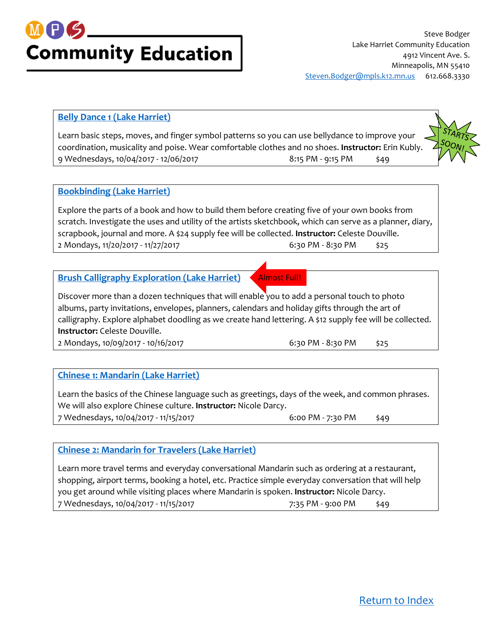

#### <span id="page-2-0"></span>**[Belly Dance 1 \(Lake Harriet\)](https://minneapolis.ce.eleyo.com/course/9228/adult-enrichment-fall-2017/belly-dance-1-lake-harriet)**

Learn basic steps, moves, and finger symbol patterns so you can use bellydance to improve your coordination, musicality and poise. Wear comfortable clothes and no shoes. **Instructor:** Erin Kubly. 9 Wednesdays, 10/04/2017 - 12/06/2017 8:15 PM - 9:15 PM \$49

#### <span id="page-2-1"></span>**[Bookbinding \(Lake Harriet\)](https://minneapolis.ce.eleyo.com/course/9276/adult-enrichment-fall-2017/bookbinding-lake-harriet)**

Explore the parts of a book and how to build them before creating five of your own books from scratch. Investigate the uses and utility of the artists sketchbook, which can serve as a planner, diary, scrapbook, journal and more. A \$24 supply fee will be collected. **Instructor:** Celeste Douville. 2 Mondays, 11/20/2017 - 11/27/2017 6:30 PM - 8:30 PM \$25

#### <span id="page-2-2"></span>**[Brush Calligraphy Exploration \(Lake Harriet\)](https://minneapolis.ce.eleyo.com/course/9207/adult-enrichment-fall-2017/brush-calligraphy-exploration-lake-harriet)**

Almost Full!

Discover more than a dozen techniques that will enable you to add a personal touch to photo albums, party invitations, envelopes, planners, calendars and holiday gifts through the art of calligraphy. Explore alphabet doodling as we create hand lettering. A \$12 supply fee will be collected. **Instructor:** Celeste Douville.

2 Mondays, 10/09/2017 - 10/16/2017 **6:30 PM - 8:30 PM + 8:30 PM** \$25

#### <span id="page-2-3"></span>**[Chinese 1: Mandarin \(Lake Harriet\)](https://minneapolis.ce.eleyo.com/course/8962/adult-enrichment-fall-2017/chinese-1-mandarin-lake-harriet)**

Learn the basics of the Chinese language such as greetings, days of the week, and common phrases. We will also explore Chinese culture. **Instructor:** Nicole Darcy. 7 Wednesdays, 10/04/2017 - 11/15/2017 6:00 PM - 7:30 PM \$49

#### <span id="page-2-4"></span>**[Chinese 2: Mandarin for Travelers \(Lake Harriet\)](https://minneapolis.ce.eleyo.com/course/9620/adult-enrichment-fall-2017/chinese-2-mandarin-for-travelers-lake-harriet)**

Learn more travel terms and everyday conversational Mandarin such as ordering at a restaurant, shopping, airport terms, booking a hotel, etc. Practice simple everyday conversation that will help you get around while visiting places where Mandarin is spoken. **Instructor:** Nicole Darcy. 7 Wednesdays, 10/04/2017 - 11/15/2017 - 7:35 PM - 9:00 PM  $\frac{1}{2}$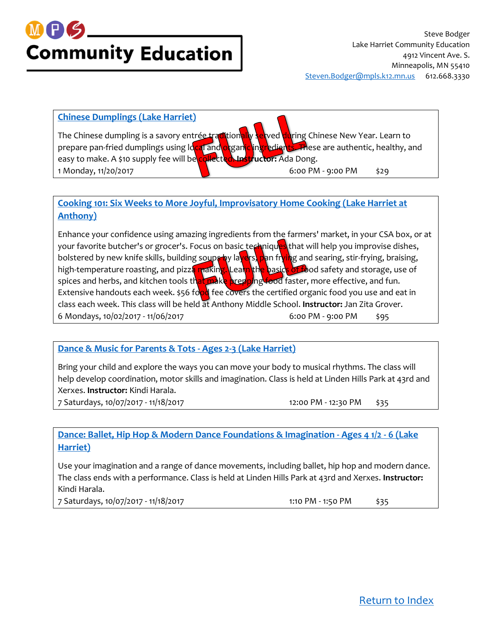

### **[Chinese Dumplings \(Lake Harriet\)](https://minneapolis.ce.eleyo.com/course/9624/adult-enrichment-fall-2017/chinese-dumplings-lake-harriet)** The Chinese dumpling is a savory entrée traditionally served during Chinese New Year. Learn to prepare pan-fried dumplings using local and organic ingredients. These are authentic, healthy, and easy to make. A \$10 supply fee will be collected. Instructor: Ada Dong. 1 Monday, 11/20/2017 6:00 PM - 9:00 PM \$29

#### **[Cooking 101: Six Weeks to More Joyful, Improvisatory Home Cooking \(Lake Harriet at](https://minneapolis.ce.eleyo.com/course/9663/adult-enrichment-fall-2017/cooking-101-six-weeks-to-more-joyful-improvisatory-home-cooking-lake-harriet-at-anthony)  [Anthony\)](https://minneapolis.ce.eleyo.com/course/9663/adult-enrichment-fall-2017/cooking-101-six-weeks-to-more-joyful-improvisatory-home-cooking-lake-harriet-at-anthony)**

Enhance your confidence using amazing ingredients from the farmers' market, in your CSA box, or at your favorite butcher's or grocer's. Focus on basic techniques that will help you improvise dishes, bolstered by new knife skills, building soups by layers, pan frying and searing, stir-frying, braising, high-temperature roasting, and pizza making. Learn the basics of food safety and storage, use of spices and herbs, and kitchen tools that make prepping food faster, more effective, and fun. Extensive handouts each week. \$56 food fee covers the certified organic food you use and eat in class each week. This class will be held at Anthony Middle School. **Instructor:** Jan Zita Grover. 6 Mondays, 10/02/2017 - 11/06/2017 6:00 PM - 9:00 PM \$95

#### **[Dance & Music for Parents & Tots -](https://minneapolis.ce.eleyo.com/course/9369/youth-family-fall-2017/dance-music-for-parents-tots-ages-2-3-lake-harriet) Ages 2-3 (Lake Harriet)**

Bring your child and explore the ways you can move your body to musical rhythms. The class will help develop coordination, motor skills and imagination. Class is held at Linden Hills Park at 43rd and Xerxes. **Instructor:** Kindi Harala.

7 Saturdays, 10/07/2017 - 11/18/2017 12:00 PM - 12:30 PM - \$35

<span id="page-3-0"></span>

<span id="page-3-1"></span>**[Dance: Ballet, Hip Hop & Modern Dance Foundations & Imagination -](https://minneapolis.ce.eleyo.com/course/9348/youth-family-fall-2017/dance-ballet-hip-hop-modern-dance-foundations-imagination-ages-4-1-2-6-lake-harriet) Ages 4 1/2 - 6 (Lake [Harriet\)](https://minneapolis.ce.eleyo.com/course/9348/youth-family-fall-2017/dance-ballet-hip-hop-modern-dance-foundations-imagination-ages-4-1-2-6-lake-harriet)**

Use your imagination and a range of dance movements, including ballet, hip hop and modern dance. The class ends with a performance. Class is held at Linden Hills Park at 43rd and Xerxes. **Instructor:** Kindi Harala.

7 Saturdays, 10/07/2017 - 11/18/2017 1:10 PM - 1:50 PM - \$35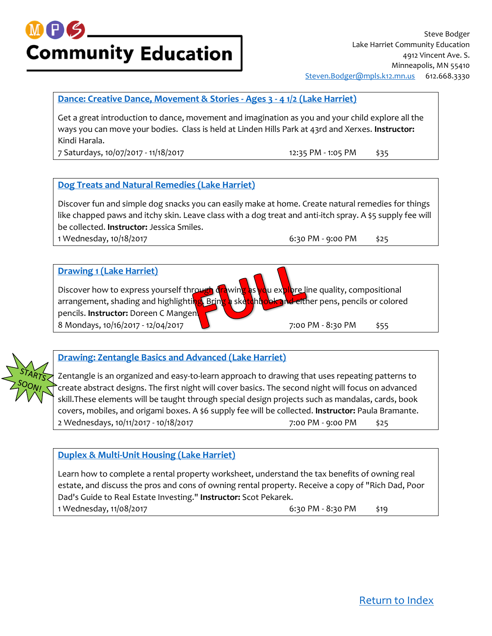## **PS Community Education**

#### **[Dance: Creative Dance, Movement & Stories -](https://minneapolis.ce.eleyo.com/course/9350/youth-family-fall-2017/dance-creative-dance-movement-stories-ages-3-4-1-2-lake-harriet) Ages 3 - 4 1/2 (Lake Harriet)**

Get a great introduction to dance, movement and imagination as you and your child explore all the ways you can move your bodies. Class is held at Linden Hills Park at 43rd and Xerxes. **Instructor:** Kindi Harala.

7 Saturdays, 10/07/2017 - 11/18/2017 12:35 PM - 1:05 PM \$35

<span id="page-4-1"></span><span id="page-4-0"></span>

#### **[Dog Treats and Natural Remedies \(Lake Harriet\)](https://minneapolis.ce.eleyo.com/course/9337/adult-enrichment-fall-2017/dog-treats-and-natural-remedies-lake-harriet)**

Discover fun and simple dog snacks you can easily make at home. Create natural remedies for things like chapped paws and itchy skin. Leave class with a dog treat and anti-itch spray. A \$5 supply fee will be collected. **Instructor:** Jessica Smiles. 1 Wednesday, 10/18/2017 6:30 PM - 9:00 PM \$25

#### **[Drawing 1 \(Lake Harriet\)](https://minneapolis.ce.eleyo.com/course/8985/adult-enrichment-fall-2017/drawing-1-lake-harriet)**





#### <span id="page-4-2"></span>**[Drawing: Zentangle Basics and Advanced \(Lake Harriet\)](https://minneapolis.ce.eleyo.com/course/9639/adult-enrichment-fall-2017/drawing-zentangle-basics-and-advanced-lake-harriet)**

Zentangle is an organized and easy-to-learn approach to drawing that uses repeating patterns to create abstract designs. The first night will cover basics. The second night will focus on advanced skill.These elements will be taught through special design projects such as mandalas, cards, book covers, mobiles, and origami boxes. A \$6 supply fee will be collected. **Instructor:** Paula Bramante. 2 Wednesdays, 10/11/2017 - 10/18/2017 **10/18/2017** 7:00 PM - 9:00 PM  $\frac{25}{525}$ 

#### <span id="page-4-3"></span>**[Duplex & Multi-Unit Housing \(Lake Harriet\)](https://minneapolis.ce.eleyo.com/course/9046/adult-enrichment-fall-2017/duplex-multi-unit-housing-lake-harriet)**

Learn how to complete a rental property worksheet, understand the tax benefits of owning real estate, and discuss the pros and cons of owning rental property. Receive a copy of "Rich Dad, Poor Dad's Guide to Real Estate Investing." **Instructor:** Scot Pekarek. 1 Wednesday, 11/08/2017 6:30 PM - 8:30 PM \$19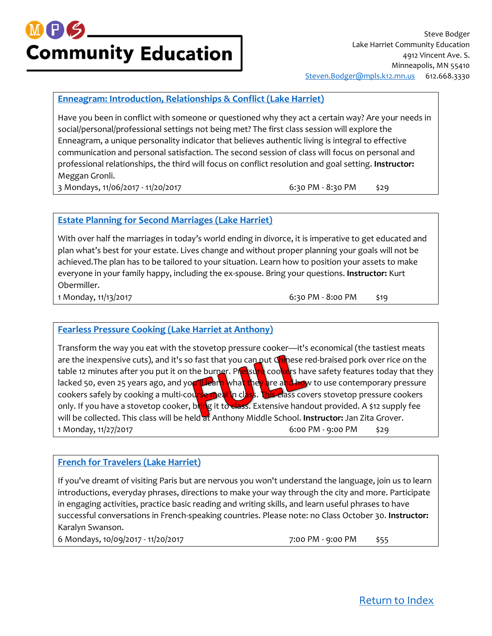## MPS **Community Education**

#### **[Enneagram: Introduction, Relationships & Conflict \(Lake Harriet\)](https://minneapolis.ce.eleyo.com/course/9249/adult-enrichment-fall-2017/enneagram-introduction-relationships-conflict-lake-harriet)**

Have you been in conflict with someone or questioned why they act a certain way? Are your needs in social/personal/professional settings not being met? The first class session will explore the Enneagram, a unique personality indicator that believes authentic living is integral to effective communication and personal satisfaction. The second session of class will focus on personal and professional relationships, the third will focus on conflict resolution and goal setting. **Instructor:** Meggan Gronli.

3 Mondays, 11/06/2017 - 11/20/2017 - 100 00:30 PM - 8:30 PM - 8:30 PM - \$29

<span id="page-5-1"></span><span id="page-5-0"></span>

#### **[Estate Planning for Second Marriages \(Lake Harriet\)](https://minneapolis.ce.eleyo.com/course/9671/adult-enrichment-fall-2017/estate-planning-for-second-marriages-lake-harriet)**

With over half the marriages in today's world ending in divorce, it is imperative to get educated and plan what's best for your estate. Lives change and without proper planning your goals will not be achieved.The plan has to be tailored to your situation. Learn how to position your assets to make everyone in your family happy, including the ex-spouse. Bring your questions. **Instructor:** Kurt Obermiller.

1 Monday, 11/13/2017 6:30 PM - 8:00 PM \$19

#### **[Fearless Pressure Cooking \(Lake Harriet at Anthony\)](https://minneapolis.ce.eleyo.com/course/9840/adult-enrichment-fall-2017/fearless-pressure-cooking-lake-harriet-at-anthony)**

Transform the way you eat with the stovetop pressure cooker—it's economical (the tastiest meats are the inexpensive cuts), and it's so fast that you can put Chinese red-braised pork over rice on the table 12 minutes after you put it on the burner. Pressure cookers have safety features today that they lacked 50, even 25 years ago, and you'll learn what they are and how to use contemporary pressure cookers safely by cooking a multi-course meal in class. This class covers stovetop pressure cookers only. If you have a stovetop cooker, bring it to class. Extensive handout provided. A \$12 supply fee will be collected. This class will be held at Anthony Middle School. **Instructor:** Jan Zita Grover. 1 Monday, 11/27/2017 6:00 PM - 9:00 PM \$29

#### <span id="page-5-2"></span>**[French for Travelers \(Lake Harriet\)](https://minneapolis.ce.eleyo.com/course/8986/adult-enrichment-fall-2017/french-for-travelers-lake-harriet)**

If you've dreamt of visiting Paris but are nervous you won't understand the language, join us to learn introductions, everyday phrases, directions to make your way through the city and more. Participate in engaging activities, practice basic reading and writing skills, and learn useful phrases to have successful conversations in French-speaking countries. Please note: no Class October 30. **Instructor:** Karalyn Swanson.

6 Mondays, 10/09/2017 - 11/20/2017 **12/01/2017** 7:00 PM - 9:00 PM \$55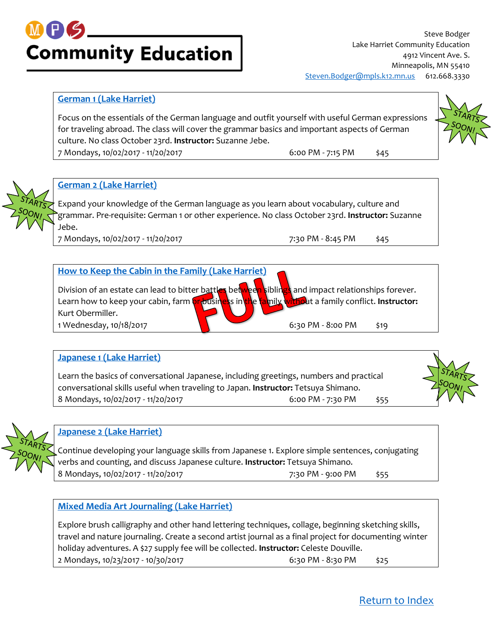### M P S **Community Education**

Steve Bodger Lake Harriet Community Education 4912 Vincent Ave. S. Minneapolis, MN 55410 [Steven.Bodger@mpls.k12.mn.us](mailto:Steven.Bodger@mpls.k12.mn.us) 612.668.3330

#### <span id="page-6-0"></span>**[German 1 \(Lake Harriet\)](https://minneapolis.ce.eleyo.com/course/8968/adult-enrichment-fall-2017/german-1-lake-harriet)**

Focus on the essentials of the German language and outfit yourself with useful German expressions for traveling abroad. The class will cover the grammar basics and important aspects of German culture. No class October 23rd. **Instructor:** Suzanne Jebe.

7 Mondays, 10/02/2017 - 11/20/2017 6:00 PM - 7:15 PM \$45



#### <span id="page-6-1"></span>**[German 2 \(Lake Harriet\)](https://minneapolis.ce.eleyo.com/course/9025/adult-enrichment-fall-2017/german-2-lake-harriet)**

Expand your knowledge of the German language as you learn about vocabulary, culture and grammar. Pre-requisite: German 1 or other experience. No class October 23rd. **Instructor:** Suzanne Jebe.

7 Mondays, 10/02/2017 - 11/20/2017 **7:30 PM - 8:45 PM \$45** 

### **[How to Keep the Cabin in the Family \(Lake Harriet\)](https://minneapolis.ce.eleyo.com/course/9023/adult-enrichment-fall-2017/how-to-keep-the-cabin-in-the-family-lake-harriet)** Division of an estate can lead to bitter battles between siblings and impact relationships forever. Learn how to keep your cabin, farm **or business in the family withou**t a family conflict. **Instructor:** Kurt Obermiller. 1 Wednesday, 10/18/2017 **1 12/2018** 6:30 PM - 8:00 PM \$19

#### <span id="page-6-2"></span>**[Japanese 1 \(Lake Harriet\)](https://minneapolis.ce.eleyo.com/course/8969/adult-enrichment-fall-2017/japanese-1-lake-harriet)**

Learn the basics of conversational Japanese, including greetings, numbers and practical conversational skills useful when traveling to Japan. **Instructor:** Tetsuya Shimano. 8 Mondays, 10/02/2017 - 11/20/2017 **6:00 PM - 7:30 PM** \$55





#### <span id="page-6-3"></span>**[Japanese 2 \(Lake Harriet\)](https://minneapolis.ce.eleyo.com/course/8970/adult-enrichment-fall-2017/japanese-2-lake-harriet)**

Continue developing your language skills from Japanese 1. Explore simple sentences, conjugating verbs and counting, and discuss Japanese culture. **Instructor:** Tetsuya Shimano. 8 Mondays, 10/02/2017 - 11/20/2017 7:30 PM - 9:00 PM \$55

#### <span id="page-6-4"></span>**[Mixed Media Art Journaling \(Lake Harriet\)](https://minneapolis.ce.eleyo.com/course/9842/adult-enrichment-fall-2017/mixed-media-art-journaling-lake-harriet)**

Explore brush calligraphy and other hand lettering techniques, collage, beginning sketching skills, travel and nature journaling. Create a second artist journal as a final project for documenting winter holiday adventures. A \$27 supply fee will be collected. **Instructor:** Celeste Douville. 2 Mondays, 10/23/2017 - 10/30/2017 6:30 PM - 8:30 PM \$25

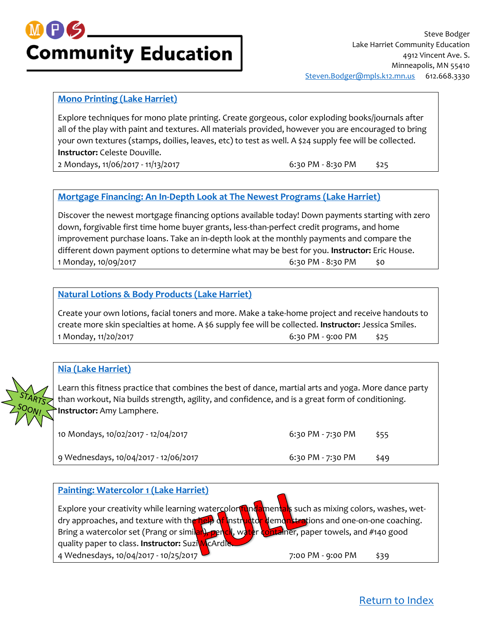

#### <span id="page-7-0"></span>**[Mono Printing \(Lake Harriet\)](https://minneapolis.ce.eleyo.com/course/9844/adult-enrichment-fall-2017/mono-printing-lake-harriet)**

Explore techniques for mono plate printing. Create gorgeous, color exploding books/journals after all of the play with paint and textures. All materials provided, however you are encouraged to bring your own textures (stamps, doilies, leaves, etc) to test as well. A \$24 supply fee will be collected. **Instructor:** Celeste Douville.

2 Mondays, 11/06/2017 - 11/13/2017 **6:30 PM** - 8:30 PM - 8:30 PM

#### <span id="page-7-1"></span>**[Mortgage Financing: An In-Depth Look at The Newest Programs \(Lake Harriet\)](https://minneapolis.ce.eleyo.com/course/9888/adult-enrichment-fall-2017/mortgage-financing-an-in-depth-look-at-the-newest-programs-lake-harriet)**

Discover the newest mortgage financing options available today! Down payments starting with zero down, forgivable first time home buyer grants, less-than-perfect credit programs, and home improvement purchase loans. Take an in-depth look at the monthly payments and compare the different down payment options to determine what may be best for you. **Instructor:** Eric House. 1 Monday, 10/09/2017 6:30 PM - 8:30 PM \$0

#### <span id="page-7-2"></span>**[Natural Lotions & Body Products \(Lake Harriet\)](https://minneapolis.ce.eleyo.com/course/9625/adult-enrichment-fall-2017/natural-lotions-body-products-lake-harriet)**

Create your own lotions, facial toners and more. Make a take-home project and receive handouts to create more skin specialties at home. A \$6 supply fee will be collected. **Instructor:** Jessica Smiles. 1 Monday, 11/20/2017 6:30 PM - 9:00 PM \$25

#### <span id="page-7-3"></span>**[Nia \(Lake Harriet\)](https://minneapolis.ce.eleyo.com/course/8971/adult-enrichment-fall-2017/nia-lake-harriet)**

Learn this fitness practice that combines the best of dance, martial arts and yoga. More dance party than workout, Nia builds strength, agility, and confidence, and is a great form of conditioning. **Instructor:** Amy Lamphere.

| 10 Mondays, 10/02/2017 - 12/04/2017   | 6:30 PM - 7:30 PM | \$55 |
|---------------------------------------|-------------------|------|
| 9 Wednesdays, 10/04/2017 - 12/06/2017 | 6:30 PM - 7:30 PM | \$49 |

#### **[Painting: Watercolor 1 \(Lake Harriet\)](https://minneapolis.ce.eleyo.com/course/8974/adult-enrichment-fall-2017/painting-watercolor-1-lake-harriet)** Explore your creativity while learning watercolor fundamentals such as mixing colors, washes, wetdry approaches, and texture with the help of instructor demonstrations and one-on-one coaching. Bring a watercolor set (Prang or similar), pericl, water container, paper towels, and #140 good quality paper to class. **Instructor:** Suzi McArdle. 4 Wednesdays, 10/04/2017 - 10/25/2017 7:00 PM - 9:00 PM \$39

[Return to Index](#page-0-0)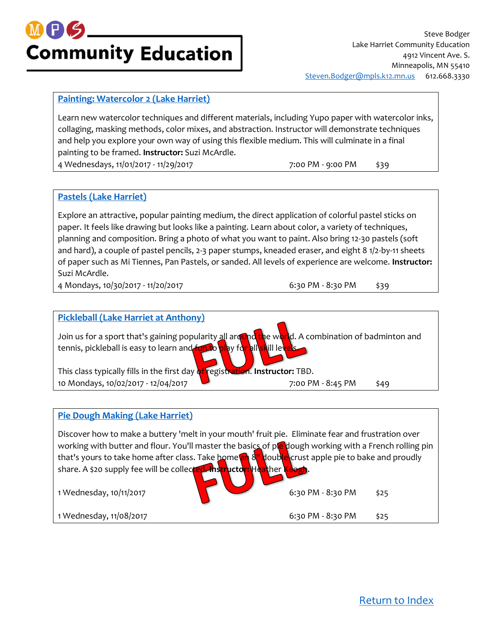

#### <span id="page-8-0"></span>**[Painting: Watercolor 2 \(Lake Harriet\)](https://minneapolis.ce.eleyo.com/course/8975/adult-enrichment-fall-2017/painting-watercolor-2-lake-harriet)**

Learn new watercolor techniques and different materials, including Yupo paper with watercolor inks, collaging, masking methods, color mixes, and abstraction. Instructor will demonstrate techniques and help you explore your own way of using this flexible medium. This will culminate in a final painting to be framed. **Instructor:** Suzi McArdle. 4 Wednesdays, 11/01/2017 - 11/29/2017 **12/2017** 7:00 PM - 9:00 PM - \$39

#### <span id="page-8-1"></span>**[Pastels \(Lake Harriet\)](https://minneapolis.ce.eleyo.com/course/9726/adult-enrichment-fall-2017/pastels-lake-harriet)**

Explore an attractive, popular painting medium, the direct application of colorful pastel sticks on paper. It feels like drawing but looks like a painting. Learn about color, a variety of techniques, planning and composition. Bring a photo of what you want to paint. Also bring 12-30 pastels (soft and hard), a couple of pastel pencils, 2-3 paper stumps, kneaded eraser, and eight 8 1/2-by-11 sheets of paper such as Mi Tiennes, Pan Pastels, or sanded. All levels of experience are welcome. **Instructor:** Suzi McArdle.

4 Mondays, 10/30/2017 - 11/20/2017 6:30 PM - 8:30 PM \$39



#### **[Pie Dough Making \(Lake Harriet\)](https://minneapolis.ce.eleyo.com/course/9572/adult-enrichment-fall-2017/pie-dough-making-lake-harriet)**

Discover how to make a buttery 'melt in your mouth' fruit pie. Eliminate fear and frustration over working with butter and flour. You'll master the basics of ple dough working with a French rolling pin that's yours to take home after class. Take home an 8" double crust apple pie to bake and proudly share. A \$20 supply fee will be collected. **Instructor: Heat**her **K** 1 Wednesday, 10/11/2017 **6:30 PM - 8:30 PM + 8:30 PM** 1 Wednesday, 11/08/2017 6:30 PM - 8:30 PM \$25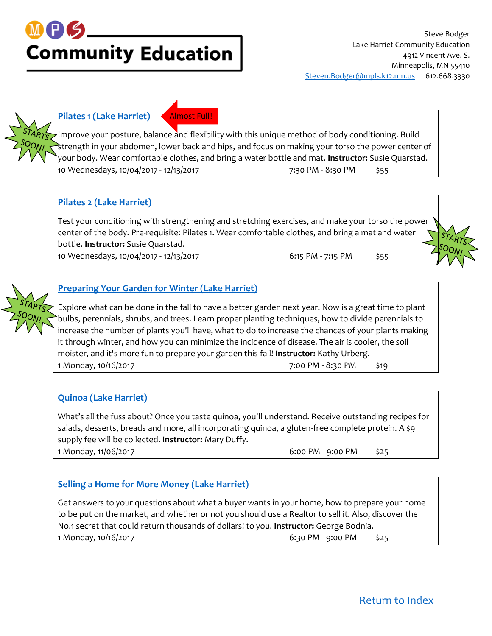## MPS **Community Education**



#### <span id="page-9-0"></span>**[Pilates 1 \(Lake Harriet\)](https://minneapolis.ce.eleyo.com/course/8976/adult-enrichment-fall-2017/pilates-1-lake-harriet)** Almost Full!

Improve your posture, balance and flexibility with this unique method of body conditioning. Build strength in your abdomen, lower back and hips, and focus on making your torso the power center of your body. Wear comfortable clothes, and bring a water bottle and mat. **Instructor:** Susie Quarstad. 10 Wednesdays, 10/04/2017 - 12/13/2017 **12/11/2017** 7:30 PM - 8:30 PM  $\frac{1}{55}$ 

#### <span id="page-9-1"></span>**[Pilates 2 \(Lake Harriet\)](https://minneapolis.ce.eleyo.com/course/8977/adult-enrichment-fall-2017/pilates-2-lake-harriet)**

Test your conditioning with strengthening and stretching exercises, and make your torso the power center of the body. Pre-requisite: Pilates 1. Wear comfortable clothes, and bring a mat and water bottle. **Instructor:** Susie Quarstad.

10 Wednesdays, 10/04/2017 - 12/13/2017 6:15 PM - 7:15 PM - \$55

<span id="page-9-2"></span>



#### **[Preparing Your Garden for Winter \(Lake Harriet\)](https://minneapolis.ce.eleyo.com/course/9638/adult-enrichment-fall-2017/preparing-your-garden-for-winter-lake-harriet)**

Explore what can be done in the fall to have a better garden next year. Now is a great time to plant bulbs, perennials, shrubs, and trees. Learn proper planting techniques, how to divide perennials to increase the number of plants you'll have, what to do to increase the chances of your plants making it through winter, and how you can minimize the incidence of disease. The air is cooler, the soil moister, and it's more fun to prepare your garden this fall! **Instructor:** Kathy Urberg. 1 Monday, 10/16/2017 7:00 PM - 8:30 PM \$19

#### <span id="page-9-3"></span>**[Quinoa \(Lake Harriet\)](https://minneapolis.ce.eleyo.com/course/9623/adult-enrichment-fall-2017/quinoa-lake-harriet)**

What's all the fuss about? Once you taste quinoa, you'll understand. Receive outstanding recipes for salads, desserts, breads and more, all incorporating quinoa, a gluten-free complete protein. A \$9 supply fee will be collected. **Instructor:** Mary Duffy. 1 Monday, 11/06/2017 **6:00 PM - 9:00 PM** \$25

#### <span id="page-9-4"></span>**[Selling a Home for More Money \(Lake Harriet\)](https://minneapolis.ce.eleyo.com/course/9040/adult-enrichment-fall-2017/selling-a-home-for-more-money-lake-harriet)**

Get answers to your questions about what a buyer wants in your home, how to prepare your home to be put on the market, and whether or not you should use a Realtor to sell it. Also, discover the No.1 secret that could return thousands of dollars! to you. **Instructor:** George Bodnia. 1 Monday, 10/16/2017 6:30 PM - 9:00 PM \$25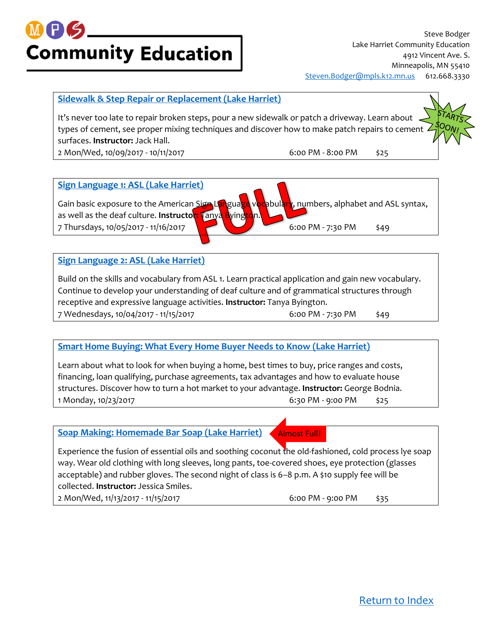# **Community Education**

Steve Bodger Lake Harriet Community Education 4912 Vincent Ave. S. Minneapolis, MN 55410 [Steven.Bodger@mpls.k12.mn.us](mailto:Steven.Bodger@mpls.k12.mn.us) 612.668.3330

#### <span id="page-10-0"></span>**[Sidewalk & Step Repair or Replacement \(Lake Harriet\)](https://minneapolis.ce.eleyo.com/course/9416/adult-enrichment-fall-2017/sidewalk-step-repair-or-replacement-lake-harriet)**

It's never too late to repair broken steps, pour a new sidewalk or patch a driveway. Learn about . types of cement, see proper mixing techniques and discover how to make patch repairs to cement 4 surfaces. **Instructor:** Jack Hall.

2 Mon/Wed, 10/09/2017 - 10/11/2017 6:00 PM - 8:00 PM \$25



### **[Sign Language 1: ASL \(Lake Harriet\)](https://minneapolis.ce.eleyo.com/course/9319/adult-enrichment-fall-2017/sign-language-1-asl-lake-harriet)** Gain basic exposure to the American Sign Language vocabulary, numbers, alphabet and ASL syntax, as well as the deaf culture. **Instructor: Tanya Byingt** 7 Thursdays, 10/05/2017 - 11/16/2017 **12/07 12/08/2018** 6:00 PM - 7:30 PM \$49

#### <span id="page-10-1"></span>**[Sign Language 2: ASL \(Lake Harriet\)](https://minneapolis.ce.eleyo.com/course/9668/adult-enrichment-fall-2017/sign-language-2-asl-lake-harriet)**

Build on the skills and vocabulary from ASL 1. Learn practical application and gain new vocabulary. Continue to develop your understanding of deaf culture and of grammatical structures through receptive and expressive language activities. **Instructor:** Tanya Byington. 7 Wednesdays, 10/04/2017 - 11/15/2017 6:00 PM - 7:30 PM \$49

#### **[Smart Home Buying: What Every Home Buyer Needs to Know \(Lake Harriet\)](https://minneapolis.ce.eleyo.com/course/9041/adult-enrichment-fall-2017/smart-home-buying-what-every-home-buyer-needs-to-know-lake-harriet)**

Learn about what to look for when buying a home, best times to buy, price ranges and costs, financing, loan qualifying, purchase agreements, tax advantages and how to evaluate house structures. Discover how to turn a hot market to your advantage. **Instructor:** George Bodnia. 1 Monday, 10/23/2017 6:30 PM - 9:00 PM \$25

#### **[Soap Making: Homemade Bar Soap \(Lake Harriet\)](https://minneapolis.ce.eleyo.com/course/9042/adult-enrichment-fall-2017/soap-making-homemade-bar-soap-lake-harriet)**

Experience the fusion of essential oils and soothing coconut the old-fashioned, cold process lye soap way. Wear old clothing with long sleeves, long pants, toe-covered shoes, eye protection (glasses acceptable) and rubber gloves. The second night of class is 6–8 p.m. A \$10 supply fee will be collected. **Instructor:** Jessica Smiles.

2 Mon/Wed, 11/13/2017 - 11/15/2017 6:00 PM - 9:00 PM \$35

<span id="page-10-3"></span><span id="page-10-2"></span>Almost Full!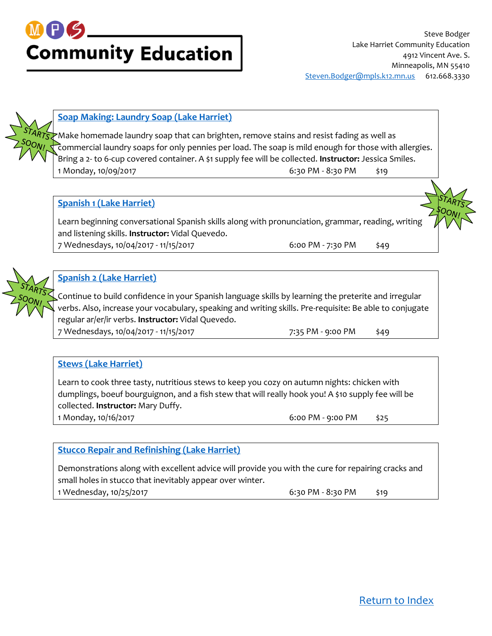## M P S **Community Education**



#### <span id="page-11-0"></span>**[Soap Making: Laundry Soap \(Lake Harriet\)](https://minneapolis.ce.eleyo.com/course/9621/adult-enrichment-fall-2017/soap-making-laundry-soap-lake-harriet)**

Make homemade laundry soap that can brighten, remove stains and resist fading as well as commercial laundry soaps for only pennies per load. The soap is mild enough for those with allergies. Bring a 2- to 6-cup covered container. A \$1 supply fee will be collected. **Instructor:** Jessica Smiles. 1 Monday, 10/09/2017 6:30 PM - 8:30 PM \$19

#### <span id="page-11-1"></span>**[Spanish 1 \(Lake Harriet\)](https://minneapolis.ce.eleyo.com/course/8902/adult-enrichment-fall-2017/spanish-1-lake-harriet)**

Learn beginning conversational Spanish skills along with pronunciation, grammar, reading, writing and listening skills. **Instructor:** Vidal Quevedo.

7 Wednesdays, 10/04/2017 - 11/15/2017 6:00 PM - 7:30 PM \$49

#### <span id="page-11-2"></span>**[Spanish 2 \(Lake Harriet\)](https://minneapolis.ce.eleyo.com/course/9248/adult-enrichment-fall-2017/spanish-2-lake-harriet)**

Continue to build confidence in your Spanish language skills by learning the preterite and irregular verbs. Also, increase your vocabulary, speaking and writing skills. Pre-requisite: Be able to conjugate regular ar/er/ir verbs. **Instructor:** Vidal Quevedo.

7 Wednesdays, 10/04/2017 - 11/15/2017 **12/18** 7:35 PM - 9:00 PM \$49

#### <span id="page-11-3"></span>**[Stews \(Lake Harriet\)](https://minneapolis.ce.eleyo.com/course/9622/adult-enrichment-fall-2017/stews-lake-harriet)**

Learn to cook three tasty, nutritious stews to keep you cozy on autumn nights: chicken with dumplings, boeuf bourguignon, and a fish stew that will really hook you! A \$10 supply fee will be collected. **Instructor:** Mary Duffy.

1 Monday, 10/16/2017 6:00 PM - 9:00 PM \$25

#### <span id="page-11-4"></span>**[Stucco Repair and Refinishing \(Lake Harriet\)](https://minneapolis.ce.eleyo.com/course/9098/adult-enrichment-fall-2017/stucco-repair-and-refinishing-lake-harriet)**

Demonstrations along with excellent advice will provide you with the cure for repairing cracks and small holes in stucco that inevitably appear over winter. 1 Wednesday, 10/25/2017 6:30 PM - 8:30 PM \$19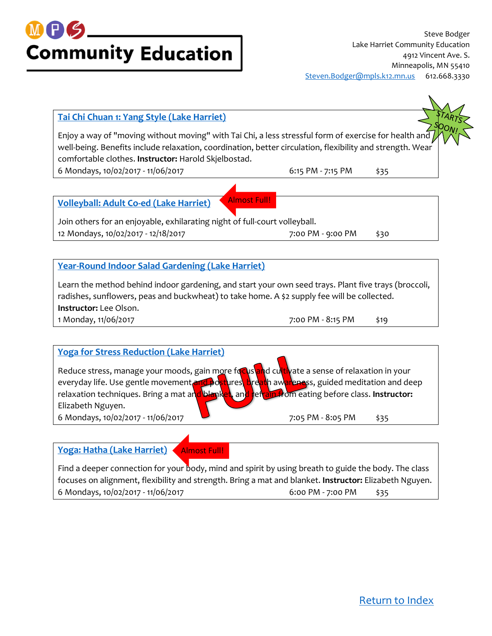

#### <span id="page-12-0"></span>**[Tai Chi Chuan 1: Yang Style \(Lake Harriet\)](https://minneapolis.ce.eleyo.com/course/8978/adult-enrichment-fall-2017/tai-chi-chuan-1-yang-style-lake-harriet)**

Enjoy a way of "moving without moving" with Tai Chi, a less stressful form of exercise for health and well-being. Benefits include relaxation, coordination, better circulation, flexibility and strength. Wear comfortable clothes. **Instructor:** Harold Skjelbostad.

Almost Full!

6 Mondays, 10/02/2017 - 11/06/2017 6:15 PM - 7:15 PM \$35

<span id="page-12-1"></span>**[Volleyball: Adult Co-ed \(Lake Harriet\)](https://minneapolis.ce.eleyo.com/course/8979/adult-enrichment-fall-2017/volleyball-adult-co-ed-lake-harriet)**

Join others for an enjoyable, exhilarating night of full-court volleyball. 12 Mondays, 10/02/2017 - 12/18/2017 **12/18/2017** 7:00 PM - 9:00 PM \$30

#### <span id="page-12-2"></span>**[Year-Round Indoor Salad Gardening \(Lake Harriet\)](https://minneapolis.ce.eleyo.com/course/9756/adult-enrichment-fall-2017/year-round-indoor-salad-gardening-lake-harriet)**

Learn the method behind indoor gardening, and start your own seed trays. Plant five trays (broccoli, radishes, sunflowers, peas and buckwheat) to take home. A \$2 supply fee will be collected. **Instructor:** Lee Olson.

1 Monday, 11/06/2017 7:00 PM - 8:15 PM \$19

#### **[Yoga for Stress Reduction](https://minneapolis.ce.eleyo.com/course/8981/adult-enrichment-fall-2017/yoga-for-stress-reduction-lake-harriet) (Lake Harriet)**

Reduce stress, manage your moods, gain more focus and cultivate a sense of relaxation in your everyday life. Use gentle movement and postures, breath awareness, guided meditation and deep relaxation techniques. Bring a mat and blanket, and refrain from eating before class. Instructor: Elizabeth Nguyen. 6 Mondays, 10/02/2017 - 11/06/2017 **1.** The state of the state of the state of the state of the state of the sta

**[Yoga: Hatha \(Lake Harriet\)](https://minneapolis.ce.eleyo.com/course/8987/adult-enrichment-fall-2017/yoga-hatha-lake-harriet)** Almost Full!

<span id="page-12-3"></span>

Find a deeper connection for your body, mind and spirit by using breath to guide the body. The class focuses on alignment, flexibility and strength. Bring a mat and blanket. **Instructor:** Elizabeth Nguyen. 6 Mondays, 10/02/2017 - 11/06/2017 6:00 PM - 7:00 PM \$35